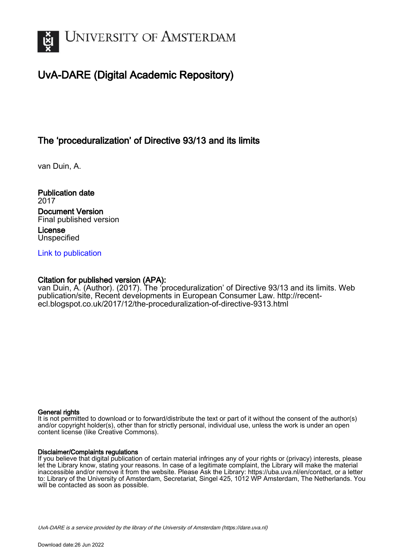

## UvA-DARE (Digital Academic Repository)

## The 'proceduralization' of Directive 93/13 and its limits

van Duin, A.

Publication date 2017 Document Version Final published version License Unspecified

[Link to publication](https://dare.uva.nl/personal/pure/en/publications/the-proceduralization-of-directive-9313-and-its-limits(2d464459-5bba-4d11-acc2-39f2f8e71833).html)

### Citation for published version (APA):

van Duin, A. (Author). (2017). The 'proceduralization' of Directive 93/13 and its limits. Web publication/site, Recent developments in European Consumer Law. [http://recent](http://recent-ecl.blogspot.co.uk/2017/12/the-proceduralization-of-directive-9313.html)[ecl.blogspot.co.uk/2017/12/the-proceduralization-of-directive-9313.html](http://recent-ecl.blogspot.co.uk/2017/12/the-proceduralization-of-directive-9313.html)

#### General rights

It is not permitted to download or to forward/distribute the text or part of it without the consent of the author(s) and/or copyright holder(s), other than for strictly personal, individual use, unless the work is under an open content license (like Creative Commons).

#### Disclaimer/Complaints regulations

If you believe that digital publication of certain material infringes any of your rights or (privacy) interests, please let the Library know, stating your reasons. In case of a legitimate complaint, the Library will make the material inaccessible and/or remove it from the website. Please Ask the Library: https://uba.uva.nl/en/contact, or a letter to: Library of the University of Amsterdam, Secretariat, Singel 425, 1012 WP Amsterdam, The Netherlands. You will be contacted as soon as possible.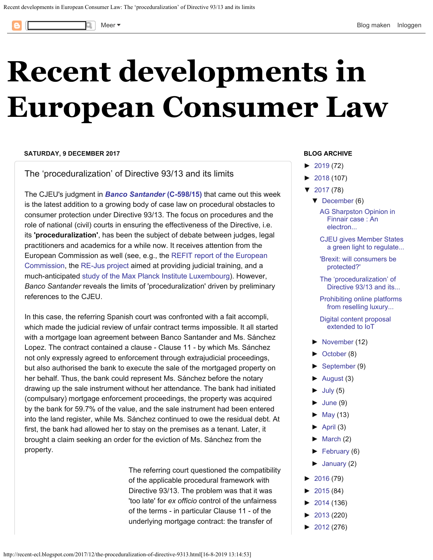<span id="page-1-0"></span>

# **[Recent developments in](http://recent-ecl.blogspot.com/) [European Consumer Law](http://recent-ecl.blogspot.com/)**

#### **SATURDAY, 9 DECEMBER 2017**

The 'proceduralization' of Directive 93/13 and its limits

The CJEU's judgment in *[Banco Santander](http://curia.europa.eu/juris/document/document.jsf?text=&docid=197526&pageIndex=0&doclang=EN&mode=req&dir=&occ=first&part=1&cid=1589817)* **[\(C-598/15\)](http://curia.europa.eu/juris/document/document.jsf?text=&docid=197526&pageIndex=0&doclang=EN&mode=req&dir=&occ=first&part=1&cid=1589817)** that came out this week is the latest addition to a growing body of case law on procedural obstacles to consumer protection under Directive 93/13. The focus on procedures and the role of national (civil) courts in ensuring the effectiveness of the Directive, i.e. its **'proceduralization'**, has been the subject of debate between judges, legal practitioners and academics for a while now. It receives attention from the European Commission as well (see, e.g., the [REFIT report of the European](http://recent-ecl.blogspot.nl/2017/05/) [Commission](http://recent-ecl.blogspot.nl/2017/05/), the [RE-Jus project](http://rejus.it/) aimed at providing judicial training, and a much-anticipated [study of the Max Planck Institute Luxembourg](https://www.mpi.lu/european-commission-study-on-the-impact-of-national-civil-procedure/)). However, *Banco Santander* reveals the limits of 'proceduralization' driven by preliminary references to the CJEU.

In this case, the referring Spanish court was confronted with a fait accompli, which made the judicial review of unfair contract terms impossible. It all started with a mortgage loan agreement between Banco Santander and Ms. Sánchez Lopez. The contract contained a clause - Clause 11 - by which Ms. Sánchez not only expressly agreed to enforcement through extrajudicial proceedings, but also authorised the bank to execute the sale of the mortgaged property on her behalf. Thus, the bank could represent Ms. Sánchez before the notary drawing up the sale instrument without her attendance. The bank had initiated (compulsary) mortgage enforcement proceedings, the property was acquired by the bank for 59.7% of the value, and the sale instrument had been entered into the land register, while Ms. Sánchez continued to owe the residual debt. At first, the bank had allowed her to stay on the premises as a tenant. Later, it brought a claim seeking an order for the eviction of Ms. Sánchez from the property.

> The referring court questioned the compatibility of the applicable procedural framework with Directive 93/13. The problem was that it was 'too late' for *ex officio* control of the unfairness of the terms - in particular Clause 11 - of the underlying mortgage contract: the transfer of

#### **BLOG ARCHIVE**

- $\blacktriangleright$ [2019](http://recent-ecl.blogspot.com/2019/) (72)
- [►](javascript:void(0))[2018](http://recent-ecl.blogspot.com/2018/) (107)
- [▼](javascript:void(0))[2017](http://recent-ecl.blogspot.com/2017/) (78)
	- [▼](javascript:void(0))[December](http://recent-ecl.blogspot.com/2017/12/) (6)
		- [AG Sharpston Opinion in](http://recent-ecl.blogspot.com/2017/12/ag-opinion-in-finnair-case-electronic.html) [Finnair case : An](http://recent-ecl.blogspot.com/2017/12/ag-opinion-in-finnair-case-electronic.html) [electron...](http://recent-ecl.blogspot.com/2017/12/ag-opinion-in-finnair-case-electronic.html)
		- [CJEU gives Member States](http://recent-ecl.blogspot.com/2017/12/cjeu-gives-member-states-green-light-to.html) [a green light to regulate...](http://recent-ecl.blogspot.com/2017/12/cjeu-gives-member-states-green-light-to.html)
		- ['Brexit: will consumers be](http://recent-ecl.blogspot.com/2017/12/brexit-will-consumers-be-protected.html) [protected?'](http://recent-ecl.blogspot.com/2017/12/brexit-will-consumers-be-protected.html)
		- [The 'proceduralization' of](#page-1-0) [Directive 93/13 and its...](#page-1-0)
		- [Prohibiting online platforms](http://recent-ecl.blogspot.com/2017/12/prohibiting-online-platforms-from.html) [from reselling luxury...](http://recent-ecl.blogspot.com/2017/12/prohibiting-online-platforms-from.html)

[Digital content proposal](http://recent-ecl.blogspot.com/2017/12/digital-content-proposal-extended-to-iot.html) [extended to IoT](http://recent-ecl.blogspot.com/2017/12/digital-content-proposal-extended-to-iot.html)

- [►](javascript:void(0))[November](http://recent-ecl.blogspot.com/2017/11/) (12)
- [►](javascript:void(0))[October](http://recent-ecl.blogspot.com/2017/10/) (8)
- [►](javascript:void(0))[September](http://recent-ecl.blogspot.com/2017/09/) (9)
- $\blacktriangleright$ [August](http://recent-ecl.blogspot.com/2017/08/) (3)
- $\blacktriangleright$ [July](http://recent-ecl.blogspot.com/2017/07/) (5)
- $\blacktriangleright$ [June](http://recent-ecl.blogspot.com/2017/06/) (9)
- $\blacktriangleright$ [May](http://recent-ecl.blogspot.com/2017/05/) (13)
- $\blacktriangleright$ [April](http://recent-ecl.blogspot.com/2017/04/) (3)
- $\blacktriangleright$ [March](http://recent-ecl.blogspot.com/2017/03/) (2)
- [►](javascript:void(0))[February](http://recent-ecl.blogspot.com/2017/02/) (6)
- $\blacktriangleright$ [January](http://recent-ecl.blogspot.com/2017/01/) (2)
- $\blacktriangleright$ [2016](http://recent-ecl.blogspot.com/2016/) (79)
- [►](javascript:void(0))[2015](http://recent-ecl.blogspot.com/2015/) (84)
- [►](javascript:void(0))[2014](http://recent-ecl.blogspot.com/2014/) (136)
- [►](javascript:void(0))[2013](http://recent-ecl.blogspot.com/2013/) (220)
- [►](javascript:void(0))[2012](http://recent-ecl.blogspot.com/2012/) (276)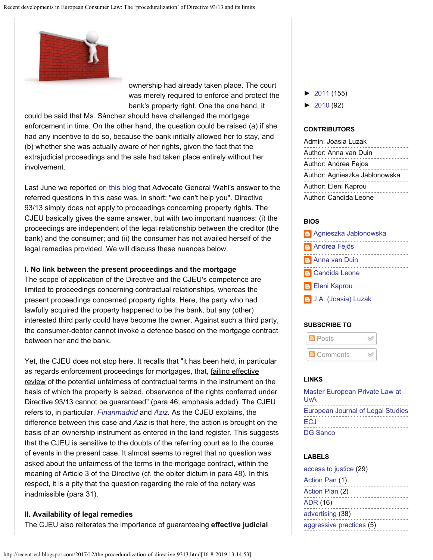

ownership had already taken place. The court was merely required to enforce and protect the bank's property right. One the one hand, it

could be said that Ms. Sánchez should have challenged the mortgage enforcement in time. On the other hand, the question could be raised (a) if she had any incentive to do so, because the bank initially allowed her to stay, and (b) whether she was actually aware of her rights, given the fact that the extrajudicial proceedings and the sale had taken place entirely without her involvement.

Last June we reported [on this blog](http://recent-ecl.blogspot.nl/2017/06/sorry-we-cant-help-you-ag-wahl-to.html) that Advocate General Wahl's answer to the referred questions in this case was, in short: "we can't help you". Directive 93/13 simply does not apply to proceedings concerning property rights. The CJEU basically gives the same answer, but with two important nuances: (i) the proceedings are independent of the legal relationship between the creditor (the bank) and the consumer; and (ii) the consumer has not availed herself of the legal remedies provided. We will discuss these nuances below.

#### **I. No link between the present proceedings and the mortgage**

The scope of application of the Directive and the CJEU's competence are limited to proceedings concerning contractual relationships, whereas the present proceedings concerned property rights. Here, the party who had lawfully acquired the property happened to be the bank, but any (other) interested third party could have become the owner. Against such a third party, the consumer-debtor cannot invoke a defence based on the mortgage contract between her and the bank.

Yet, the CJEU does not stop here. It recalls that "it has been held, in particular as regards enforcement proceedings for mortgages, that, failing effective review of the potential unfairness of contractual terms in the instrument on the basis of which the property is seized, observance of the rights conferred under Directive 93/13 cannot be guaranteed" (para 46; emphasis added). The CJEU refers to, in particular, *[Finanmadrid](http://recent-ecl.blogspot.nl/2016/02/a-missed-opportunity-cjeu-judgment-in.html)* and *[Aziz](http://recent-ecl.blogspot.nl/2013/03/unfair-terms-and-mortgage-enforcement.html)*. As the CJEU explains, the difference between this case and *Aziz* is that here, the action is brought on the basis of an ownership instrument as entered in the land register. This suggests that the CJEU is sensitive to the doubts of the referring court as to the course of events in the present case. It almost seems to regret that no question was asked about the unfairness of the terms in the mortgage contract, within the meaning of Article 3 of the Directive (cf. the obiter dictum in para 48). In this respect, it is a pity that the question regarding the role of the notary was inadmissible (para 31).

#### **II. Availability of legal remedies**

The CJEU also reiterates the importance of guaranteeing **effective judicial**

- [►](javascript:void(0))[2011](http://recent-ecl.blogspot.com/2011/) (155)
- [►](javascript:void(0))[2010](http://recent-ecl.blogspot.com/2010/) (92)

#### **CONTRIBUTORS**

Admin: Joasia Luzak Author: Anna van Duin Author: Andrea Fejos Author: Agnieszka Jabłonowska Author: Eleni Kaprou Author: Candida Leone

#### **BIOS**

| <b>Agnieszka Jabłonowska</b> |
|------------------------------|
| <b>Andrea Fejős</b>          |
| <b>B</b> Anna van Duin       |
| <b>B</b> Candida Leone       |
| <b>B</b> Eleni Kaprou        |
| <b>B</b> J.A. (Joasia) Luzak |

#### **SUBSCRIBE TO**



#### **LINKS**

[Master European Private Law at](http://als.uva.nl/programmes/content/european-private-law.html) [UvA](http://als.uva.nl/programmes/content/european-private-law.html) [European Journal of Legal Studies](http://www.ejls.eu/) **[ECJ](http://curia.europa.eu/jcms/jcms/j_6/)** [DG Sanco](http://ec.europa.eu/dgs/health_consumer/index_en.htm)

#### **LABELS**

| access to justice (29)   |
|--------------------------|
| Action Pan (1)           |
| Action Plan (2)          |
| <b>ADR (16)</b>          |
| advertising (38)         |
| aggressive practices (5) |
|                          |